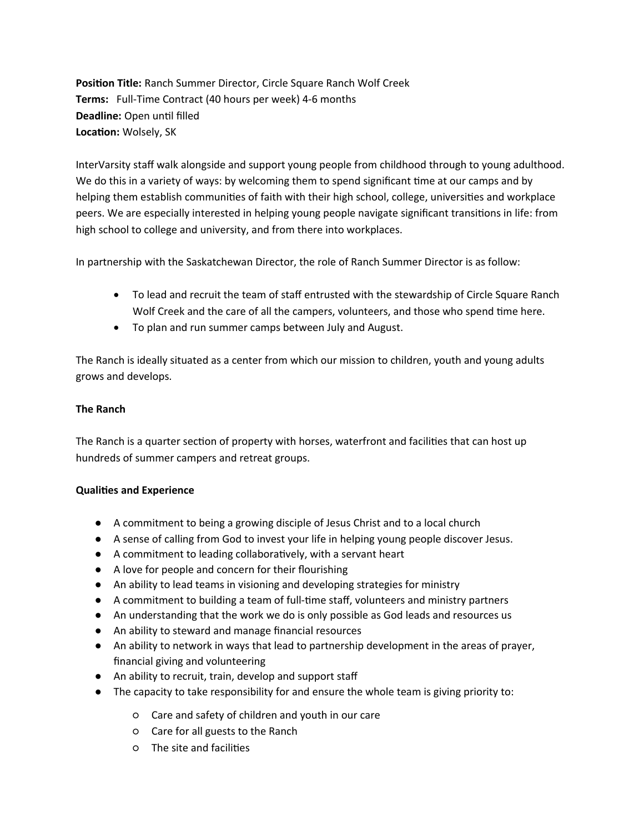**Position Title:** Ranch Summer Director, Circle Square Ranch Wolf Creek **Terms:** Full-Time Contract (40 hours per week) 4-6 months **Deadline:** Open until filled **Location:** Wolsely, SK

InterVarsity staff walk alongside and support young people from childhood through to young adulthood. We do this in a variety of ways: by welcoming them to spend significant time at our camps and by helping them establish communities of faith with their high school, college, universities and workplace peers. We are especially interested in helping young people navigate significant transitions in life: from high school to college and university, and from there into workplaces.

In partnership with the Saskatchewan Director, the role of Ranch Summer Director is as follow:

- To lead and recruit the team of staff entrusted with the stewardship of Circle Square Ranch Wolf Creek and the care of all the campers, volunteers, and those who spend time here.
- To plan and run summer camps between July and August.

The Ranch is ideally situated as a center from which our mission to children, youth and young adults grows and develops.

## **The Ranch**

The Ranch is a quarter section of property with horses, waterfront and facilities that can host up hundreds of summer campers and retreat groups.

## **Qualities and Experience**

- A commitment to being a growing disciple of Jesus Christ and to a local church
- A sense of calling from God to invest your life in helping young people discover Jesus.
- A commitment to leading collaboratively, with a servant heart
- A love for people and concern for their flourishing
- An ability to lead teams in visioning and developing strategies for ministry
- A commitment to building a team of full-time staff, volunteers and ministry partners
- An understanding that the work we do is only possible as God leads and resources us
- An ability to steward and manage financial resources
- An ability to network in ways that lead to partnership development in the areas of prayer, financial giving and volunteering
- An ability to recruit, train, develop and support staff
- The capacity to take responsibility for and ensure the whole team is giving priority to:
	- Care and safety of children and youth in our care
	- Care for all guests to the Ranch
	- The site and facilities